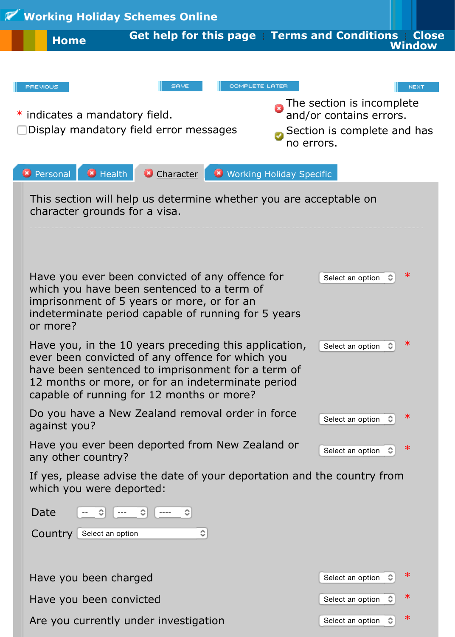

Are you currently under investigation  $\mathbb{S}$  Select an option  $\mathbb{S}$